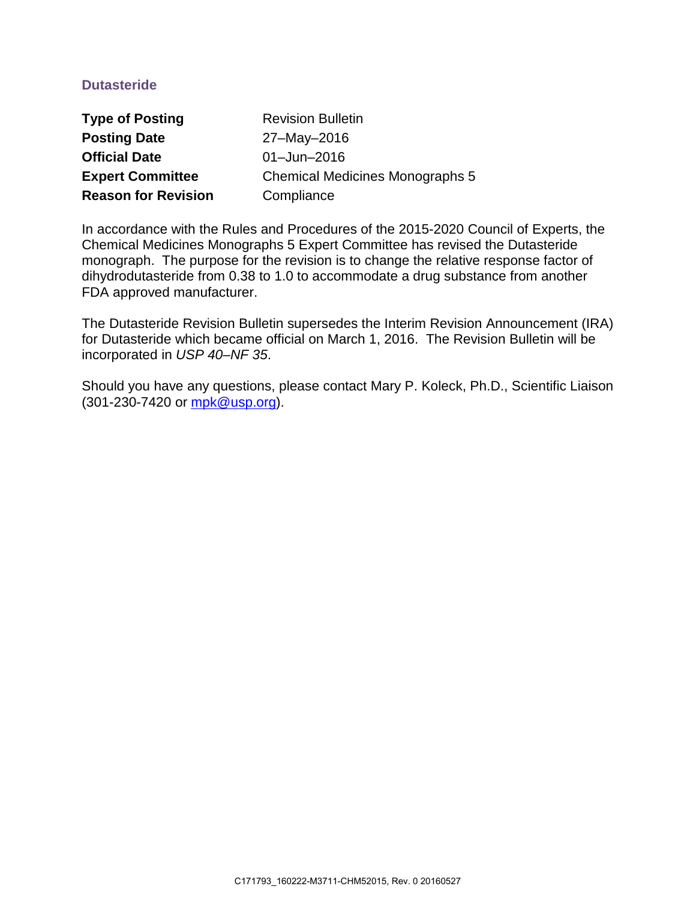## **Dutasteride**

| <b>Type of Posting</b>     | <b>Revision Bulletin</b>               |
|----------------------------|----------------------------------------|
| <b>Posting Date</b>        | 27-May-2016                            |
| <b>Official Date</b>       | 01-Jun-2016                            |
| <b>Expert Committee</b>    | <b>Chemical Medicines Monographs 5</b> |
| <b>Reason for Revision</b> | Compliance                             |

In accordance with the Rules and Procedures of the 2015-2020 Council of Experts, the Chemical Medicines Monographs 5 Expert Committee has revised the Dutasteride monograph. The purpose for the revision is to change the relative response factor of dihydrodutasteride from 0.38 to 1.0 to accommodate a drug substance from another FDA approved manufacturer.

The Dutasteride Revision Bulletin supersedes the Interim Revision Announcement (IRA) for Dutasteride which became official on March 1, 2016. The Revision Bulletin will be incorporated in *USP 40–NF 35*.

Should you have any questions, please contact Mary P. Koleck, Ph.D., Scientific Liaison (301-230-7420 or [mpk@usp.org\)](mailto:mpk@usp.org).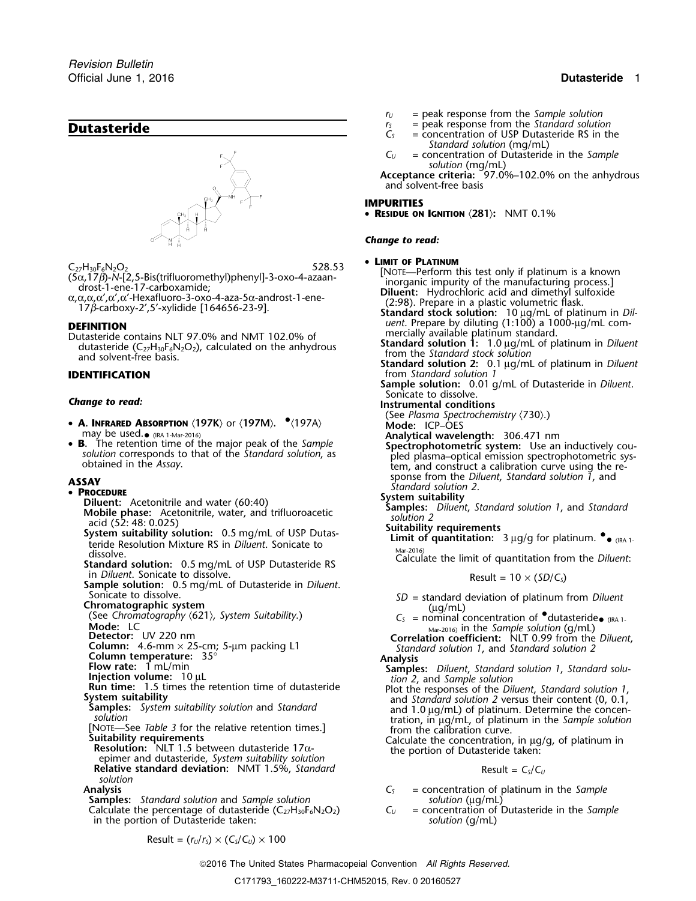

Dutasteride contains NLT 97.0% and NMT 102.0% of mercially available platinum standard.<br>dutasteride (C<sub>22</sub>H<sub>30</sub>E<sub>6</sub>N<sub>2</sub>O<sub>2</sub>), calculated on the anhydrous **Standard solution 1:** 1.0 µg/mL of platinum in *Diluent* dutasteride  $(C_2H_{30}F_6N_2O_2)$ , calculated on the anhydrous<br>and solvent-free basis.<br>**IDENTIFICATION** by the standard solution 2: 0.1 µg/mL of platinum in *Diluent*<br>**IDENTIFICATION** from Standard solution 2: 0.1 µg/mL of

- **<sup>A</sup>. INFRARED ABSORPTION** 〈**197K**〉 or 〈**197M**〉**.** •.〈197A〉 **Mode:** ICP–OES
- may be used.  $_{\bullet}$  (IRA 1-Mar-2016)<br>**B.** The retention time of the major peak of the Sample •

### • PROCEDURE

- 
- 
- System suitability solution: 0.5 mg/mL of USP Dutas-<br>teride Resolution Mixture RS in *Diluent*. Sonicate to<br>dissolve. Calculate the limit of quantitation from the *Diluent*:<br>in *Diluent*. Sonicate to dissolve.<br>in *Diluent*
- 
- in *Diluent*. Sonicate to dissolve.<br> **Sample solution:** 0.5 mg/mL of Dutasteride in *Diluent*.<br>
Sonicate to dissolve. Sonicate to dissolve.
- 

**Chromatographic system**<br>
(See *Chromatography* ⟨621⟩*, System Suitability*.) *C<sub>S</sub>* = nominal concentration of •dutasteride• (IRA 1-

- 
- 
- 
- 
- 
- 
- epimer and dutasteride, *System suitability solution* **Relative standard deviation:** NMT 1.5%, *Standard* Result =  $C_s/C_U$ *solution*

**Samples:** *Standard solution* and *Sample solution*<br>
Calculate the percentage of dutasteride  $(C_2H_{30}F_6N_2O_2)$   $C_U$  = concentration of Dutasteride in the *Sample* Calculate the percentage of dutasteride  $(C_{27}H_{30}F_6N_2O_2)$   $C_U =$  concentration of Dutasteride taken:<br>in the portion of Dutasteride taken: in the portion of Dutasteride taken:

$$
r_U
$$
 = peak response from the Sample solution

- **Dutasteride Dutasteride C**<sub>*S*</sub> = peak response from the *Standard solution*  $C_s$  = concentration of USP Dutasteride RS in the
	- *Standard solution* (mg/mL)
	- *C<sup>U</sup>* = concentration of Dutasteride in the *Sample solution* (mg/mL)

**Acceptance criteria:** 97.0%–102.0% on the anhydrous and solvent-free basis

### **IMPURITIES**

• **RESIDUE ON IGNITION** 〈**281**〉**:** NMT 0.1%

### *Change to read:*

### • LIMIT OF PLATINUM

 $C_{27}H_{30}F_6N_2O_2$ <br>  $(5\alpha,17\beta)$ -N-[2,5-Bis(trifluoromethyl)phenyl]-3-oxo-4-azaan-<br>  $\alpha, \alpha, \alpha, \alpha', \alpha', \alpha', \alpha'$ -drost-1-ene-17-carboxamide;<br>  $\alpha, \alpha, \alpha, \alpha, \alpha', \alpha'$ -xarboxamide;<br>  $\alpha, \alpha, \alpha, \alpha, \alpha', \alpha'$ -xylidide [164656-23-9].<br>

17β-carboxy-2',5'-xylidide [164656-23-9].<br>**DEFINITION**<br>DEFINITION *uent*. Prepare by diluting (1:100) a 1000-µg/mL com-<br>Dutasteride contains NLT 97.0% and NMT 102.0% of mercially available platinum standard.

from *Standard* solution 1

**Sample solution:** 0.01 g/mL of Dutasteride in *Diluent*. Sonicate to dissolve. *Change to read:* **Instrumental conditions**

- (See *Plasma Spectrochemistry (730).*)<br>Mode: ICP-OES
- 
- 
- Analytical wavelength: 306.471 nm<br>Spectrophotometric system: Use an inductively cousolution corresponds to that of the *Standard solution*, as<br>obtained in the Assay.<br>obtained in the Assay.<br>obtained in the Assay. sponse from the *Diluent*, *Standard solution 1*, and **ASSAY** *Standard solution 2*.

- **PROCEDURE**<br> **Diluent:** Acetonitrile and water (60:40)<br> **System suitability**<br> **System suitability**<br> **System suitability**<br> **System suitability**<br> **System suitability**<br> **System suitability**<br> **System suitability**<br> **System su** 
	- - **Limit of quantitation:**  $3 \mu g/g$  for platinum.  $\bullet$  (IRA 1.

- Sonicate to dissolve.<br>**Chromatographic system**<br>(ug/mL) (ug/mL) (ug/mL)
	-
- Mode: LC<br>
Detector: UV 220 nm<br>
Column: 4.6-mm × 25-cm; 5-µm packing L1<br>
Column: 4.6-mm × 25-cm; 5-µm packing L1<br>
Column temperature: 35°<br>
Analysis<br>
Analysis<br>
Analysis

- **Column temperature:** 3 mL/min **Column temperature:** 3 Samples: *Diluent*, *Standard solution 1*, *Standard solution 1*, *Standard solution 1*, *Standard solution 1*, *Standard solution 1*, *Standard solution 2*, and *Samp*
- **Injection volume:** 1.9  $\mu$  L<br> **Run time:** 1.5 times the retention time of dutasteride<br> **System suitability**<br>
System suitability solution and Standard<br> **System suitability solution** and Standard<br> **System suitability solu**

**Suitability requirements**<br>
Suitability requirements<br> **Suitability requirements**<br> **Suitability requirements**<br> **Resolution:** NLT 1.5 between dutasteride 17α-<br> **Calculate the concentration, in μg/g, of platinum in**<br>
the por

- Analysis<br>**Samples:** Standard solution and *Sample* solution **C**<sub>S</sub> = concentration of platinum in the *Sample*<br>solution (µg/mL)
	-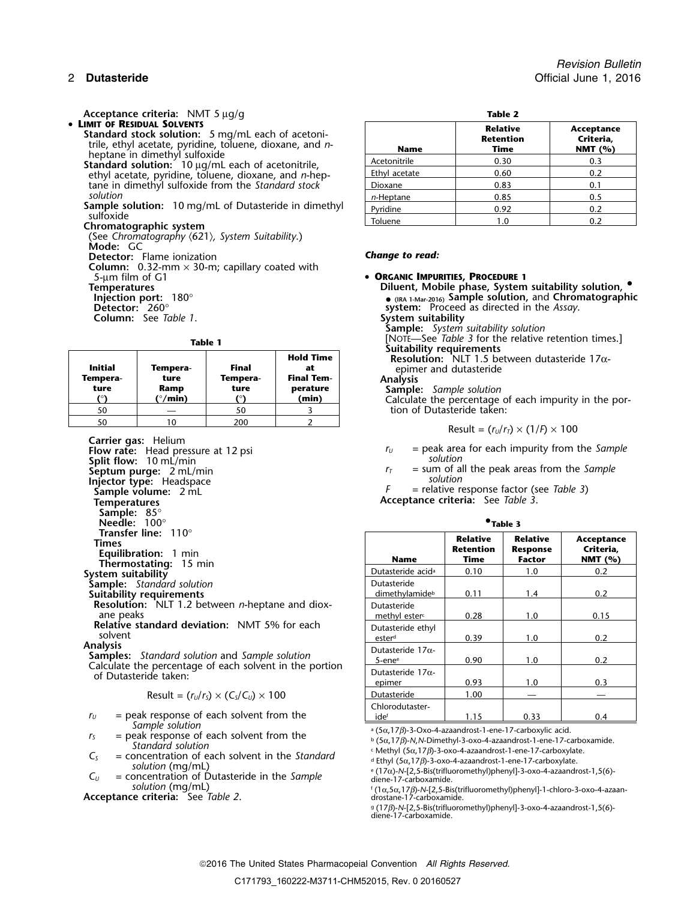Acceptance criteria: NMT 5 µg/g • LIMIT OF RESIDUAL SOLVENTS

- **Standard stock solution:** 5 mg/mL each of acetonitrile, ethyl acetate, pyridine, toluene, dioxane, and *n*-heptane in dimethyl sulfoxide<br>**Standard solution:** 10  $\mu$ g/mL each of acetonitrile,
	- ethyl acetate, pyridine, toluene, dioxane, and *n*-heptane in dimethyl sulfoxide from the *Standard stock* solution *solution n***-Heptane 1 0.85 0.5** 0.5
- **Sample solution:** 10 mg/mL of Dutasteride in dimethyl sulfoxide<br>sulfoxide<br>Chromatographic system

(See *Chromatography* 〈621〉*, System Suitability*.) **Mode:** GC

**Detector:** Flame ionization **Change to read:** 

**Column:** 0.32-mm × 30-m; capillary coated with 5-µm film of G1 • **ORGANIC IMPURITIES, PROCEDURE <sup>1</sup>**

**Column:** See *Table 1*.

| Initial<br>Tempera-<br>ture | Tempera-<br>ture<br>Ramp<br>(°/min) | Final<br>Tempera-<br>ture | <b>Hold Time</b><br>at<br><b>Final Tem-</b><br>perature<br>(min) | <b>SUILADINTY TEQUITENTIES</b><br><b>Resolution:</b> NLT 1.5 between dutasteric<br>epimer and dutasteride<br><b>Analysis</b><br><b>Sample:</b> Sample solution<br>Calculate the percentage of each impurity |
|-----------------------------|-------------------------------------|---------------------------|------------------------------------------------------------------|-------------------------------------------------------------------------------------------------------------------------------------------------------------------------------------------------------------|
| 50                          |                                     | 50                        |                                                                  | tion of Dutasteride taken:                                                                                                                                                                                  |
| 50                          | 10                                  | 200                       |                                                                  |                                                                                                                                                                                                             |
|                             |                                     |                           |                                                                  | Result = $(r_U/r_T) \times (1/F) \times 100$                                                                                                                                                                |

**Carrier gas:** Helium

**Split flow:**<sup>10</sup> mL/min *solution* **Injector type:** Headspace<br> **Sample volume:** 2 mL **Temperatures Acceptance criteria:** See *Table 3*. **Sample:** 85° **Needle:** 100° **•Thermostating:** 15 min<br>System suitability **Sample:** Standard solution Suitability requirements **Resolution:** NLT 1.2 between *n*-heptane and diox-

$$
Result = (r_U/r_S) \times (C_S/C_U) \times 100
$$

- $r_U$  = peak response of each solvent from the
- $r<sub>S</sub>$  = peak response of each solvent from the *Standard solution*
- $C_5$  = concentration of each solvent in the *Standard* solution (mg/mL)
- $C_U$  = concentration of Dutasteride in the *Sample* diene-17-carboxamide. *solution* (mg/mL) <sup>f</sup>

**Acceptance criteria:** See *Table 2*. drostane-17-carboxamide.

| ٠<br>۰, |  |
|---------|--|
|         |  |

| <b>Name</b>   | <b>Relative</b><br><b>Retention</b><br>Time | Acceptance<br>Criteria,<br>NMT $(%)$ |
|---------------|---------------------------------------------|--------------------------------------|
| Acetonitrile  | 0.30                                        | 0.3                                  |
| Ethyl acetate | 0.60                                        | 0.2                                  |
| Dioxane       | 0.83                                        | 0.1                                  |
| $n$ -Heptane  | 0.85                                        | 0.5                                  |
| Pvridine      | 0.92                                        | 0.2                                  |
| Toluene       |                                             | 0.2                                  |

**Temperatures Diluent, Mobile phase, System suitability solution, •. Injection port:** 180° **• (IRA 1-Mar-2016) Sample solution,** and **Chromatographic** system: Proceed as directed in the Assay.

**Sample:** *System suitability solution*

**Table 1 Table 1 Hold Time Example 1 Hold Time Hold Time Example 1 Hold Time Resolution:** NLT 1.5 between dutasteride 17α-

**Initial Tempera- Final at** epimer and dutasteride

**Sample:** Sample solution<br>Calculate the percentage of each impurity in the portion of Dutasteride taken:

$$
Result = (rU/rT) \times (1/F) \times 100
$$

**Flow rate:** Head pressure at 12 psi *r* and *r* and *r* and *r* area for each impurity from the *Sample* 

**Septum purge:**  $2 \text{ mL/min}$ <br> **Septum purge:**  $2 \text{ mL/min}$ <br> **Injector type:** Headspace<br> **Injector type:** Headspace

 $=$  relative response factor (see *Table 3*)

| $^{\bullet}$ Table 3 |  |
|----------------------|--|
|                      |  |

| <b>Transfer line:</b> $110^{\circ}$<br>Times<br><b>Equilibration:</b> 1 min<br><b>Thermostating: 15 min</b> | <b>Name</b>                               | <b>Relative</b><br><b>Retention</b><br>Time | <b>Relative</b><br><b>Response</b><br><b>Factor</b> | Acceptance<br>Criteria,<br>NMT $(%)$ |
|-------------------------------------------------------------------------------------------------------------|-------------------------------------------|---------------------------------------------|-----------------------------------------------------|--------------------------------------|
| stem suitability                                                                                            | Dutasteride acid <sup>a</sup>             | 0.10                                        | 1.0                                                 | 0.2                                  |
| ample: Standard solution<br>uitability requirements                                                         | Dutasteride<br>dimethylamide <sup>b</sup> | 0.11                                        | 1.4                                                 | 0.2                                  |
| <b>Resolution:</b> NLT 1.2 between <i>n</i> -heptane and diox-<br>ane peaks                                 | Dutasteride<br>methyl ester <sup>c</sup>  | 0.28                                        | 1.0                                                 | 0.15                                 |
| Relative standard deviation: NMT 5% for each<br>solvent                                                     | Dutasteride ethyl<br>ester <sup>d</sup>   | 0.39                                        | 1.0                                                 | 0.2                                  |
| alysis<br>amples: Standard solution and Sample solution                                                     | Dutasteride $17\alpha$ -<br>$5$ -ene $e$  | 0.90                                        | 1.0                                                 | 0.2                                  |
| alculate the percentage of each solvent in the portion<br>of Dutasteride taken:                             | Dutasteride $17\alpha$ -<br>epimer        | 0.93                                        | 1.0                                                 | 0.3                                  |
| Result = $(r_U/r_s) \times (C_s/C_u) \times 100$                                                            | Dutasteride                               | 1.00                                        |                                                     |                                      |
| $=$ peak response of each solvent from the                                                                  | Chlorodutaster-<br>idef                   | 1.15                                        | 0.33                                                | 0.4                                  |

Sample solution<br>a  $(5\alpha, 17\beta)$ -3-Oxo-4-azaandrost-1-ene-17-carboxylic acid.

<sup>b</sup> (5α,17β)-*N*,*N*-Dimethyl-3-oxo-4-azaandrost-1-ene-17-carboxamide.<br><sup>c</sup> Methyl (5α,17β)-3-oxo-4-azaandrost-1-ene-17-carboxylate.

<sup>d</sup> Ethyl (5α,17β)-3-oxo-4-azaandrost-1-ene-17-carboxylate.<br><sup>e</sup> (17α)-N-[2,5-Bis(trifluoromethyl)phenyl]-3-oxo-4-azaandrost-1,5(6)-

. (1<sup>α</sup>,5α,17β)-*N*-[2,5-Bis(trifluoromethyl)phenyl]-1-chloro-3-oxo-4-azaan-

g. (17β)-*N*-[2,5-Bis(trifluoromethyl)phenyl]-3-oxo-4-azaandrost-1,5(6) diene-17-carboxamide.